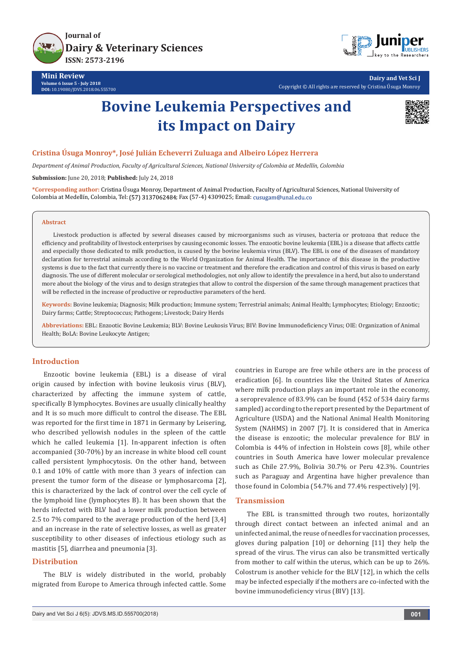



**Dairy and Vet Sci J** Copyright © All rights are reserved by Cristina Úsuga Monroy

# **Bovine Leukemia Perspectives and its Impact on Dairy**



## **Cristina Úsuga Monroy\*, José Julián Echeverri Zuluaga and Albeiro López Herrera**

*Department of Animal Production, Faculty of Agricultural Sciences, National University of Colombia at Medellín, Colombia* **Submission:** June 20, 2018; **Published:** July 24, 2018

**\*Corresponding author:** Cristina Úsuga Monroy, Department of Animal Production, Faculty of Agricultural Sciences, National University of Colombia at Medellín, Colombia, Tel: (57) 3137062484; Fax (57-4) 4309025; Email: cusugam@unal.edu.co

#### **Abstract**

Livestock production is affected by several diseases caused by microorganisms such as viruses, bacteria or protozoa that reduce the efficiency and profitability of livestock enterprises by causing economic losses. The enzootic bovine leukemia (EBL) is a disease that affects cattle and especially those dedicated to milk production, is caused by the bovine leukemia virus (BLV). The EBL is one of the diseases of mandatory declaration for terrestrial animals according to the World Organization for Animal Health. The importance of this disease in the productive systems is due to the fact that currently there is no vaccine or treatment and therefore the eradication and control of this virus is based on early diagnosis. The use of different molecular or serological methodologies, not only allow to identify the prevalence in a herd, but also to understand more about the biology of the virus and to design strategies that allow to control the dispersion of the same through management practices that will be reflected in the increase of productive or reproductive parameters of the herd.

**Keywords:** Bovine leukemia; Diagnosis; Milk production; Immune system; Terrestrial animals; Animal Health; Lymphocytes; Etiology; Enzootic; Dairy farms; Cattle; Streptococcus; Pathogens; Livestock; Dairy Herds

**Abbreviations:** EBL: Enzootic Bovine Leukemia; BLV: Bovine Leukosis Virus; BIV: Bovine Immunodeficiency Virus; OIE: Organization of Animal Health; BoLA: Bovine Leukocyte Antigen;

## **Introduction**

Enzootic bovine leukemia (EBL) is a disease of viral origin caused by infection with bovine leukosis virus (BLV), characterized by affecting the immune system of cattle, specifically B lymphocytes. Bovines are usually clinically healthy and It is so much more difficult to control the disease. The EBL was reported for the first time in 1871 in Germany by Leisering, who described yellowish nodules in the spleen of the cattle which he called leukemia [1]. In-apparent infection is often accompanied (30-70%) by an increase in white blood cell count called persistent lymphocytosis. On the other hand, between 0.1 and 10% of cattle with more than 3 years of infection can present the tumor form of the disease or lymphosarcoma [2], this is characterized by the lack of control over the cell cycle of the lymphoid line (lymphocytes B). It has been shown that the herds infected with BLV had a lower milk production between 2.5 to 7% compared to the average production of the herd [3,4] and an increase in the rate of selective losses, as well as greater susceptibility to other diseases of infectious etiology such as mastitis [5], diarrhea and pneumonia [3].

## **Distribution**

The BLV is widely distributed in the world, probably migrated from Europe to America through infected cattle. Some eradication [6]. In countries like the United States of America where milk production plays an important role in the economy, a seroprevalence of 83.9% can be found (452 of 534 dairy farms sampled) according to the report presented by the Department of Agriculture (USDA) and the National Animal Health Monitoring System (NAHMS) in 2007 [7]. It is considered that in America the disease is enzootic; the molecular prevalence for BLV in Colombia is 44% of infection in Holstein cows [8], while other countries in South America have lower molecular prevalence such as Chile 27.9%, Bolivia 30.7% or Peru 42.3%. Countries such as Paraguay and Argentina have higher prevalence than those found in Colombia (54.7% and 77.4% respectively) [9].

countries in Europe are free while others are in the process of

## **Transmission**

The EBL is transmitted through two routes, horizontally through direct contact between an infected animal and an uninfected animal, the reuse of needles for vaccination processes, gloves during palpation [10] or dehorning [11] they help the spread of the virus. The virus can also be transmitted vertically from mother to calf within the uterus, which can be up to 26%. Colostrum is another vehicle for the BLV [12], in which the cells may be infected especially if the mothers are co-infected with the bovine immunodeficiency virus (BIV) [13].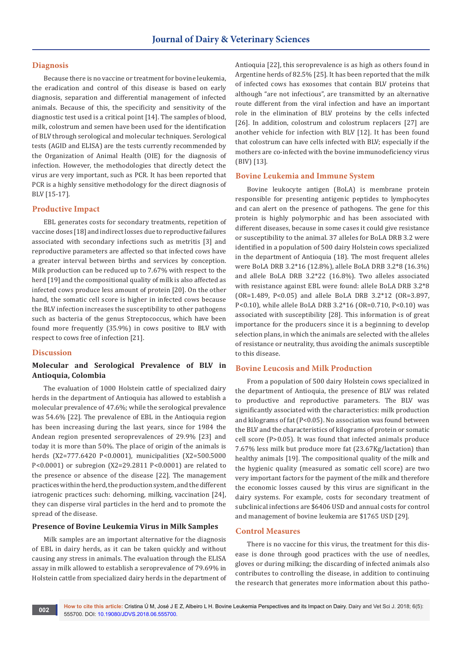## **Diagnosis**

Because there is no vaccine or treatment for bovine leukemia, the eradication and control of this disease is based on early diagnosis, separation and differential management of infected animals. Because of this, the specificity and sensitivity of the diagnostic test used is a critical point [14]. The samples of blood, milk, colostrum and semen have been used for the identification of BLV through serological and molecular techniques. Serological tests (AGID and ELISA) are the tests currently recommended by the Organization of Animal Health (OIE) for the diagnosis of infection. However, the methodologies that directly detect the virus are very important, such as PCR. It has been reported that PCR is a highly sensitive methodology for the direct diagnosis of BLV [15-17].

# **Productive Impact**

EBL generates costs for secondary treatments, repetition of vaccine doses [18] and indirect losses due to reproductive failures associated with secondary infections such as metritis [3] and reproductive parameters are affected so that infected cows have a greater interval between births and services by conception. Milk production can be reduced up to 7.67% with respect to the herd [19] and the compositional quality of milk is also affected as infected cows produce less amount of protein [20]. On the other hand, the somatic cell score is higher in infected cows because the BLV infection increases the susceptibility to other pathogens such as bacteria of the genus Streptococcus, which have been found more frequently (35.9%) in cows positive to BLV with respect to cows free of infection [21].

## **Discussion**

# **Molecular and Serological Prevalence of BLV in Antioquia, Colombia**

The evaluation of 1000 Holstein cattle of specialized dairy herds in the department of Antioquia has allowed to establish a molecular prevalence of 47.6%; while the serological prevalence was 54.6% [22]. The prevalence of EBL in the Antioquia region has been increasing during the last years, since for 1984 the Andean region presented seroprevalences of 29.9% [23] and today it is more than 50%. The place of origin of the animals is herds (X2=777.6420 P<0.0001), municipalities (X2=500.5000 P<0.0001) or subregion (X2=29.2811 P<0.0001) are related to the presence or absence of the disease [22]. The management practices within the herd, the production system, and the different iatrogenic practices such: dehorning, milking, vaccination [24], they can disperse viral particles in the herd and to promote the spread of the disease.

## **Presence of Bovine Leukemia Virus in Milk Samples**

Milk samples are an important alternative for the diagnosis of EBL in dairy herds, as it can be taken quickly and without causing any stress in animals. The evaluation through the ELISA assay in milk allowed to establish a seroprevalence of 79.69% in Holstein cattle from specialized dairy herds in the department of Antioquia [22], this seroprevalence is as high as others found in Argentine herds of 82.5% [25]. It has been reported that the milk of infected cows has exosomes that contain BLV proteins that although "are not infectious", are transmitted by an alternative route different from the viral infection and have an important role in the elimination of BLV proteins by the cells infected [26]. In addition, colostrum and colostrum replacers [27] are another vehicle for infection with BLV [12]. It has been found that colostrum can have cells infected with BLV; especially if the mothers are co-infected with the bovine immunodeficiency virus (BIV) [13].

## **Bovine Leukemia and Immune System**

Bovine leukocyte antigen (BoLA) is membrane protein responsible for presenting antigenic peptides to lymphocytes and can alert on the presence of pathogens. The gene for this protein is highly polymorphic and has been associated with different diseases, because in some cases it could give resistance or susceptibility to the animal. 37 alleles for BoLA DRB 3.2 were identified in a population of 500 dairy Holstein cows specialized in the department of Antioquia (18). The most frequent alleles were BoLA DRB 3.2\*16 (12.8%), allele BoLA DRB 3.2\*8 (16.3%) and allele BoLA DRB 3.2\*22 (16.8%). Two alleles associated with resistance against EBL were found: allele BoLA DRB 3.2\*8 (OR=1.489, P<0.05) and allele BoLA DRB 3.2\*12 (OR=3.897, P<0.10), while allele BoLA DRB 3.2\*16 (OR=0.710, P<0.10) was associated with susceptibility [28]. This information is of great importance for the producers since it is a beginning to develop selection plans, in which the animals are selected with the alleles of resistance or neutrality, thus avoiding the animals susceptible to this disease.

# **Bovine Leucosis and Milk Production**

From a population of 500 dairy Holstein cows specialized in the department of Antioquia, the presence of BLV was related to productive and reproductive parameters. The BLV was significantly associated with the characteristics: milk production and kilograms of fat (P<0.05). No association was found between the BLV and the characteristics of kilograms of protein or somatic cell score (P>0.05). It was found that infected animals produce 7.67% less milk but produce more fat (23.67Kg/lactation) than healthy animals [19]. The compositional quality of the milk and the hygienic quality (measured as somatic cell score) are two very important factors for the payment of the milk and therefore the economic losses caused by this virus are significant in the dairy systems. For example, costs for secondary treatment of subclinical infections are \$6406 USD and annual costs for control and management of bovine leukemia are \$1765 USD [29].

## **Control Measures**

There is no vaccine for this virus, the treatment for this disease is done through good practices with the use of needles, gloves or during milking; the discarding of infected animals also contributes to controlling the disease, in addition to continuing the research that generates more information about this patho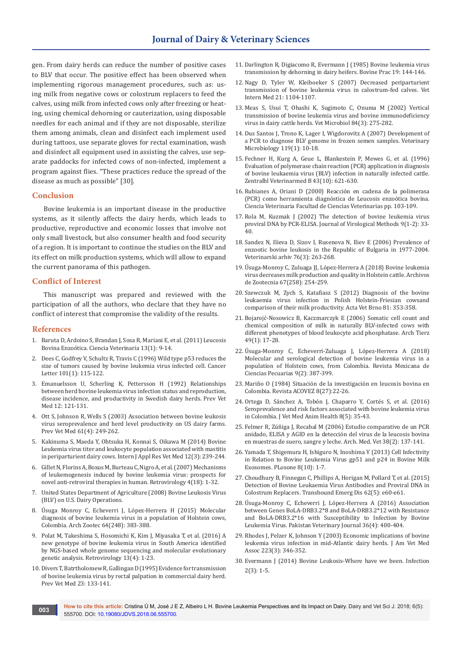gen. From dairy herds can reduce the number of positive cases to BLV that occur. The positive effect has been observed when implementing rigorous management procedures, such as: using milk from negative cows or colostrum replacers to feed the calves, using milk from infected cows only after freezing or heating, using chemical dehorning or cauterization, using disposable needles for each animal and if they are not disposable, sterilize them among animals, clean and disinfect each implement used during tattoos, use separate gloves for rectal examination, wash and disinfect all equipment used in assisting the calves, use separate paddocks for infected cows of non-infected, implement a program against flies. "These practices reduce the spread of the disease as much as possible" [30].

#### **Conclusion**

Bovine leukemia is an important disease in the productive systems, as it silently affects the dairy herds, which leads to productive, reproductive and economic losses that involve not only small livestock, but also consumer health and food security of a region. It is important to continue the studies on the BLV and its effect on milk production systems, which will allow to expand the current panorama of this pathogen.

#### **Conflict of Interest**

This manuscript was prepared and reviewed with the participation of all the authors, who declare that they have no conflict of interest that compromise the validity of the results.

#### **References**

- 1. Baruta D, Ardoino S, Brandan J, Sosa R, Mariani E, et al. (2011) Leucosis Bovina Enzoótica. Ciencia Veterinaria 13(1): 9-14.
- 2. [Dees C, Godfrey V, Schultz R, Travis C \(1996\) Wild type p53 reduces the](https://www.ncbi.nlm.nih.gov/pubmed/8625274)  [size of tumors caused by bovine leukemia virus infected cell. Cancer](https://www.ncbi.nlm.nih.gov/pubmed/8625274)  [Letter 101\(1\): 115-122.](https://www.ncbi.nlm.nih.gov/pubmed/8625274)
- 3. [Emanuelsson U, Scherling K, Pettersson H \(1992\) Relationships](https://www.sciencedirect.com/science/article/pii/016758779290075Q)  [between herd bovine leukemia virus infection status and reproduction,](https://www.sciencedirect.com/science/article/pii/016758779290075Q)  [disease incidence, and productivity in Swedish dairy herds. Prev Vet](https://www.sciencedirect.com/science/article/pii/016758779290075Q)  [Med 12: 121-131.](https://www.sciencedirect.com/science/article/pii/016758779290075Q)
- 4. [Ott S, Johnson R, Wells S \(2003\) Association between bovine leukosis](https://www.ncbi.nlm.nih.gov/pubmed/14623410)  [virus seroprevalence and herd level productivity on US dairy farms.](https://www.ncbi.nlm.nih.gov/pubmed/14623410)  [Prev Vet Med 61\(4\): 249-262.](https://www.ncbi.nlm.nih.gov/pubmed/14623410)
- 5. Kakinuma S, Maeda Y, Ohtsuka H, Konnai S, Oikawa M (2014) Bovine Leukemia virus titer and leukocyte population associated with mastitis in periparturient dairy cows. Intern J Appl Res Vet Med 12(3): 239-244.
- 6. [Gillet N, Florins A, Boxus M, Burteau C, Nigro A, et al. \(2007\) Mechanisms](https://www.ncbi.nlm.nih.gov/pubmed/17362524)  [of leukemogenesis induced by bovine leukemia virus: prospects for](https://www.ncbi.nlm.nih.gov/pubmed/17362524)  [novel anti-retroviral therapies in human. Retrovirology 4\(18\): 1-32.](https://www.ncbi.nlm.nih.gov/pubmed/17362524)
- 7. United States Department of Agriculture (2008) Bovine Leukosis Virus (BLV) on U.S. Dairy Operations.
- 8. Úsuga Monroy C, Echeverri J, López-Herrera H (2015) Molecular diagnosis of bovine leukemia virus in a population of Holstein cows, Colombia. Arch Zootec 64(248): 383-388.
- 9. [Polat M, Takeshima S, Hosomichi K, Kim J, Miyasaka T, et al. \(2016\) A](https://retrovirology.biomedcentral.com/articles/10.1186/s12977-016-0239-z)  [new genotype of bovine leukemia virus in South America identified](https://retrovirology.biomedcentral.com/articles/10.1186/s12977-016-0239-z)  [by NGS-based whole genome sequencing and molecular evolutionary](https://retrovirology.biomedcentral.com/articles/10.1186/s12977-016-0239-z)  [genetic analysis. Retrovirology 13\(4\): 1-23.](https://retrovirology.biomedcentral.com/articles/10.1186/s12977-016-0239-z)
- 10. [Divers T, Batrtholomew R, Gallingan D \(1995\) Evidence for transmission](https://www.sciencedirect.com/science/article/pii/0167587795004648)  [of bovine leukemia virus by rectal palpation in commercial dairy herd.](https://www.sciencedirect.com/science/article/pii/0167587795004648)  [Prev Vet Med 23: 133-141.](https://www.sciencedirect.com/science/article/pii/0167587795004648)
- 11. Darlington R, Digiacomo R, Evermann J (1985) Bovine leukemia virus transmission by dehorning in dairy heifers. Bovine Prac 19: 144-146.
- 12. [Nagy D, Tyler W, Kleiboeker S \(2007\) Decreased periparturient](https://www.ncbi.nlm.nih.gov/pubmed/17939571)  [transmission of bovine leukemia virus in calostrum-fed calves. Vet](https://www.ncbi.nlm.nih.gov/pubmed/17939571)  [Intern Med 21: 1104-1107.](https://www.ncbi.nlm.nih.gov/pubmed/17939571)
- 13. [Meas S, Usui T, Ohashi K, Sugimoto C, Onuma M \(2002\) Vertical](https://www.ncbi.nlm.nih.gov/pubmed/11731179)  [transmission of bovine leukemia virus and bovine immunodeficiency](https://www.ncbi.nlm.nih.gov/pubmed/11731179)  [virus in dairy cattle herds. Vet Microbiol 84\(3\): 275-282.](https://www.ncbi.nlm.nih.gov/pubmed/11731179)
- 14. [Dus Santos J, Trono K, Lager I, Wigdorovitz A \(2007\) Development of](https://www.ncbi.nlm.nih.gov/pubmed/17030101)  [a PCR to diagnose BLV genome in frozen semen samples. Veterinary](https://www.ncbi.nlm.nih.gov/pubmed/17030101)  [Microbiology 119\(1\): 10-18.](https://www.ncbi.nlm.nih.gov/pubmed/17030101)
- 15. [Fechner H, Kurg A, Geue L, Blankestein P, Mewes G, et al. \(1996\)](https://www.ncbi.nlm.nih.gov/pubmed/9011158)  [Evaluation of polymerase chain reaction \(PCR\) application in diagnosis](https://www.ncbi.nlm.nih.gov/pubmed/9011158)  [of bovine leukaemia virus \(BLV\) infection in naturally infected cattle.](https://www.ncbi.nlm.nih.gov/pubmed/9011158)  [Zentralbl Veterinarmed B 43\(10\): 621-630.](https://www.ncbi.nlm.nih.gov/pubmed/9011158)
- 16. Rubianes A, Oriani D (2000) Reacción en cadena de la polimerasa (PCR) como herramienta diagnóstica de Leucosis enzoótica bovina. Ciencia Veterinaria Facultad de Ciencias Veterinarias pp. 103-109.
- 17. [Rola M, Kuzmak J \(2002\) The detection of bovine leukemia virus](https://www.ncbi.nlm.nih.gov/pubmed/11684301)  [proviral DNA by PCR-ELISA. Journal of Virological Methods 9\(1-2\): 33-](https://www.ncbi.nlm.nih.gov/pubmed/11684301) [40.](https://www.ncbi.nlm.nih.gov/pubmed/11684301)
- 18. Sandez N, Ilieva D, Sizov I, Rusenova N, Iliev E (2006) Prevalence of enzootic bovine leukosis in the Republic of Bulgaria in 1977-2004. Veterinarski arhiv 76(3): 263-268.
- 19. Úsuga-Monroy C, Zuluaga JJ, López-Herrera A (2018) Bovine leukemia virus decreases milk production and quality in Holstein cattle. Archivos de Zootecnia 67(258): 254-259.
- 20. Szewczuk M, Zych S, Katafiasz S (2012) Diagnosis of the bovine leukaemia virus infection in Polish Holstein-Friesian cowsand comparison of their milk productivity. Acta Vet Brno 81: 353-358.
- 21. Bojarojć-Nosowicz B, Kaczmarczyk E (2006) Somatic cell count and chemical composition of milk in naturally BLV-infected cows with different phenotypes of blood leukocyte acid phosphatase. Arch Tierz 49(1): 17-28.
- 22. Úsuga-Monroy C, Echeverri-Zuluaga J, López-Herrera A (2018) Molecular and serological detection of bovine leukemia virus in a population of Holstein cows, from Colombia. Revista Mexicana de Ciencias Pecuarias 9(2): 387-399.
- 23. Mariño O (1984) Situación de la investigación en leucosis bovina en Colombia. Revista ACOVEZ 8(27):22-26.
- 24. Ortega D, Sánchez A, Tobón J, Chaparro Y, Cortés S, et al. (2016) Seroprevalence and risk factors associated with bovine leukemia virus in Colombia. J Vet Med Anim Health 8(5): 35-43.
- 25. Felmer R, Zúñiga J, Recabal M (2006) Estudio comparativo de un PCR anidado, ELISA y AGID en la detección del virus de la leucosis bovina en muestras de suero, sangre y leche. Arch. Med. Vet 38(2): 137-141.
- 26. [Yamada T, Shigemura H, Ishiguro N, Inoshima Y \(2013\) Cell Infectivity](http://journals.plos.org/plosone/article?id=10.1371/journal.pone.0077359)  [in Relation to Bovine Leukemia Virus gp51 and p24 in Bovine Milk](http://journals.plos.org/plosone/article?id=10.1371/journal.pone.0077359)  [Exosomes. PLosone 8\(10\): 1-7.](http://journals.plos.org/plosone/article?id=10.1371/journal.pone.0077359)
- 27. [Choudhury B, Finnegan C, Phillips A, Horigan M, Pollard T, et al. \(2015\)](https://www.ncbi.nlm.nih.gov/pubmed/24268042)  [Detection of Bovine Leukaemia Virus Antibodies and Proviral DNA in](https://www.ncbi.nlm.nih.gov/pubmed/24268042)  [Colostrum Replacers. Transbound Emerg Dis 62\(5\): e60-e61.](https://www.ncbi.nlm.nih.gov/pubmed/24268042)
- 28. Úsuga-Monroy C, Echeverri J, López-Herrera A (2016) Association between Genes BoLA-DRB3.2\*8 and BoLA-DRB3.2\*12 with Resistance and BoLA-DRB3.2\*16 with Susceptibility to Infection by Bovine Leukemia Virus. Pakistan Veterinary Journal 36(4): 400-404.
- 29. [Rhodes J, Pelzer K, Johnson Y \(2003\) Economic implications of bovine](https://www.ncbi.nlm.nih.gov/pubmed/12906231)  [leukemia virus infection in mid-Atlantic dairy herds. J Am Vet Med](https://www.ncbi.nlm.nih.gov/pubmed/12906231)  [Assoc 223\(3\): 346-352.](https://www.ncbi.nlm.nih.gov/pubmed/12906231)
- 30. Evermann J (2014) Bovine Leukosis-Where have we been. Infection 2(3): 1-5.